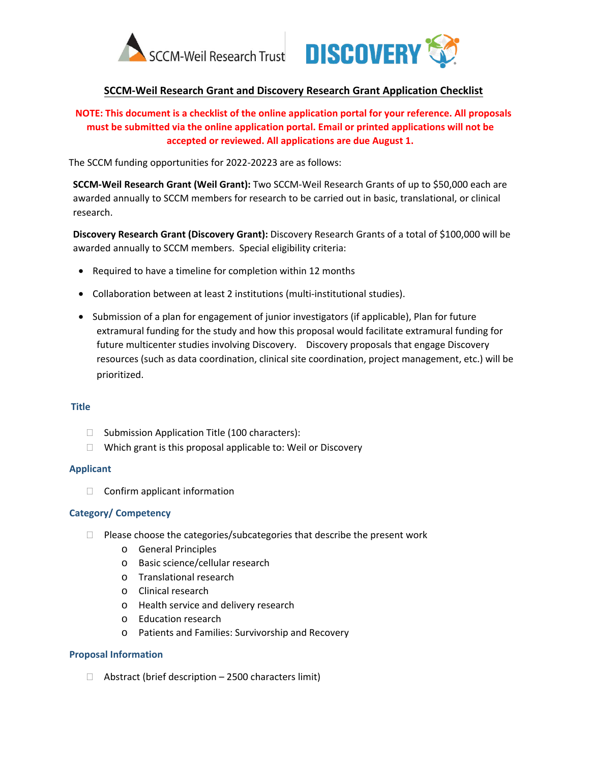



## **SCCM-Weil Research Grant and Discovery Research Grant Application Checklist**

# **NOTE: This document is a checklist of the online application portal for your reference. All proposals must be submitted via the online application portal. Email or printed applications will not be accepted or reviewed. All applications are due August 1.**

The SCCM funding opportunities for 2022-20223 are as follows:

**SCCM-Weil Research Grant (Weil Grant):** Two SCCM-Weil Research Grants of up to \$50,000 each are awarded annually to SCCM members for research to be carried out in basic, translational, or clinical research.

**Discovery Research Grant (Discovery Grant):** Discovery Research Grants of a total of \$100,000 will be awarded annually to SCCM members. Special eligibility criteria:

- Required to have a timeline for completion within 12 months
- Collaboration between at least 2 institutions (multi-institutional studies).
- Submission of a plan for engagement of junior investigators (if applicable), Plan for future extramural funding for the study and how this proposal would facilitate extramural funding for future multicenter studies involving Discovery. Discovery proposals that engage Discovery resources (such as data coordination, clinical site coordination, project management, etc.) will be prioritized.

### **Title**

- $\Box$  Submission Application Title (100 characters):
- $\Box$  Which grant is this proposal applicable to: Weil or Discovery

### **Applicant**

 $\Box$  Confirm applicant information

#### **Category/ Competency**

- $\Box$  Please choose the categories/subcategories that describe the present work
	- o General Principles
	- o Basic science/cellular research
	- o Translational research
	- o Clinical research
	- o Health service and delivery research
	- o Education research
	- o Patients and Families: Survivorship and Recovery

### **Proposal Information**

 $\Box$  Abstract (brief description – 2500 characters limit)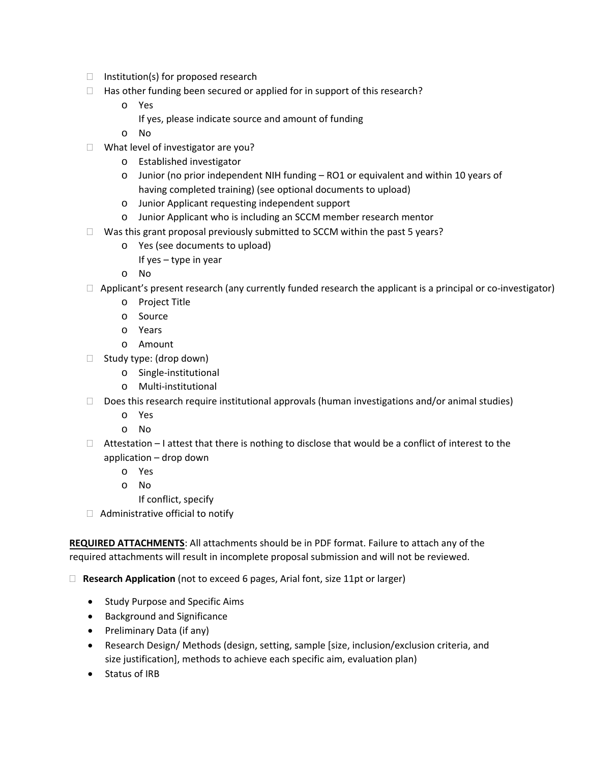- $\Box$  Institution(s) for proposed research
- $\Box$  Has other funding been secured or applied for in support of this research?
	- o Yes
		- If yes, please indicate source and amount of funding
	- o No
- □ What level of investigator are you?
	- o Established investigator
	- o Junior (no prior independent NIH funding RO1 or equivalent and within 10 years of having completed training) (see optional documents to upload)
	- o Junior Applicant requesting independent support
	- o Junior Applicant who is including an SCCM member research mentor
- $\Box$  Was this grant proposal previously submitted to SCCM within the past 5 years?
	- o Yes (see documents to upload)
		- If yes type in year
	- o No
- $\Box$  Applicant's present research (any currently funded research the applicant is a principal or co-investigator)
	- o Project Title
	- o Source
	- o Years
	- o Amount
- $\Box$  Study type: (drop down)
	- o Single-institutional
	- o Multi-institutional
- $\Box$  Does this research require institutional approvals (human investigations and/or animal studies)
	- o Yes
	- o No
- $\Box$  Attestation I attest that there is nothing to disclose that would be a conflict of interest to the application – drop down
	- o Yes
	- o No
		- If conflict, specify
- $\Box$  Administrative official to notify

**REQUIRED ATTACHMENTS**: All attachments should be in PDF format. Failure to attach any of the required attachments will result in incomplete proposal submission and will not be reviewed.

**Research Application** (not to exceed 6 pages, Arial font, size 11pt or larger)

- Study Purpose and Specific Aims
- Background and Significance
- Preliminary Data (if any)
- Research Design/ Methods (design, setting, sample [size, inclusion/exclusion criteria, and size justification], methods to achieve each specific aim, evaluation plan)
- Status of IRB